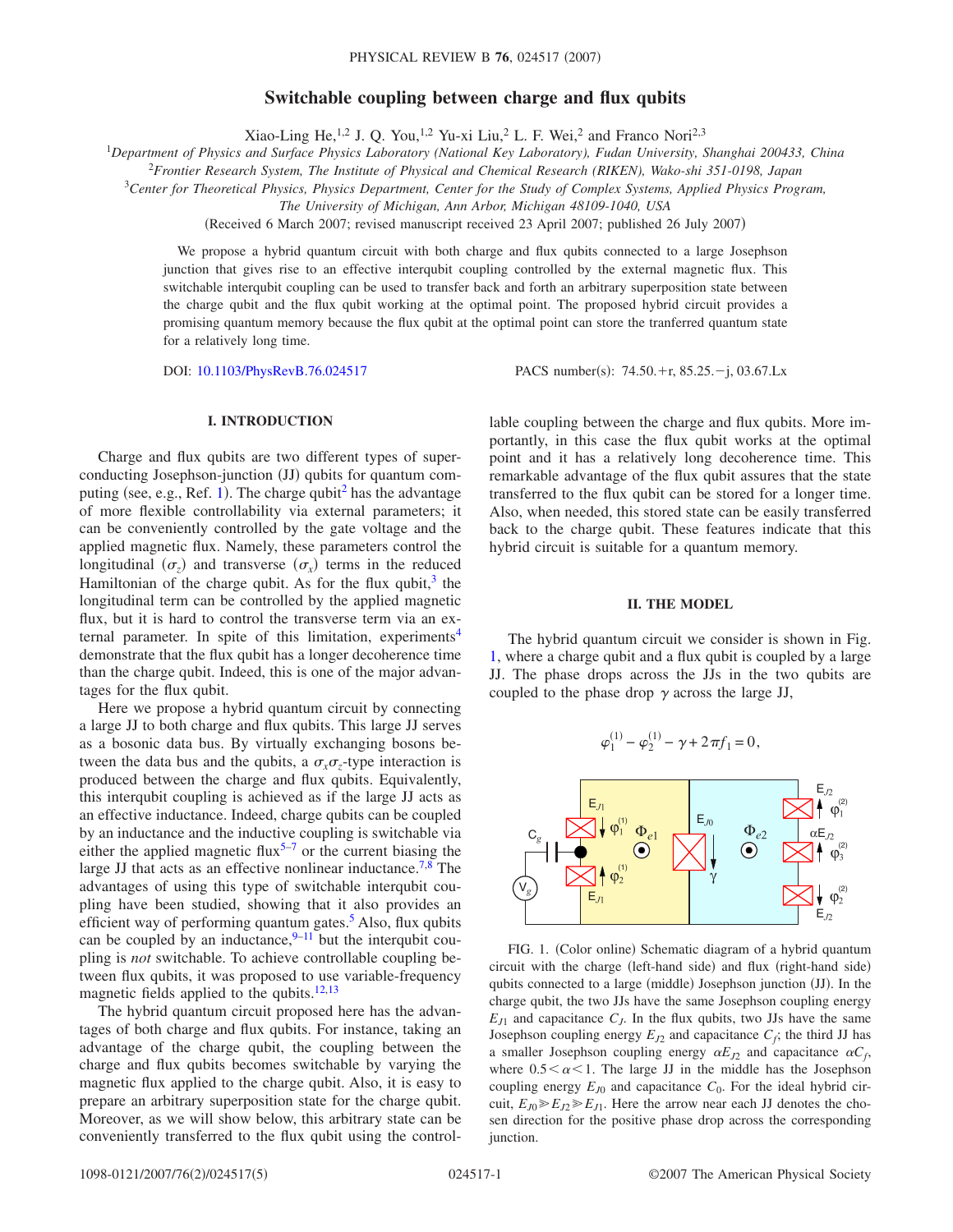# **Switchable coupling between charge and flux qubits**

Xiao-Ling He,<sup>1,2</sup> J. Q. You,<sup>1,2</sup> Yu-xi Liu,<sup>2</sup> L. F. Wei,<sup>2</sup> and Franco Nori<sup>2,3</sup>

1 *Department of Physics and Surface Physics Laboratory (National Key Laboratory), Fudan University, Shanghai 200433, China*

<sup>2</sup>*Frontier Research System, The Institute of Physical and Chemical Research (RIKEN), Wako-shi 351-0198, Japan*

3 *Center for Theoretical Physics, Physics Department, Center for the Study of Complex Systems, Applied Physics Program,*

*The University of Michigan, Ann Arbor, Michigan 48109-1040, USA*

(Received 6 March 2007; revised manuscript received 23 April 2007; published 26 July 2007)

We propose a hybrid quantum circuit with both charge and flux qubits connected to a large Josephson junction that gives rise to an effective interqubit coupling controlled by the external magnetic flux. This switchable interqubit coupling can be used to transfer back and forth an arbitrary superposition state between the charge qubit and the flux qubit working at the optimal point. The proposed hybrid circuit provides a promising quantum memory because the flux qubit at the optimal point can store the tranferred quantum state for a relatively long time.

DOI: [10.1103/PhysRevB.76.024517](http://dx.doi.org/10.1103/PhysRevB.76.024517)

:  $74.50 + r$ ,  $85.25 - j$ ,  $03.67$ .Lx

# **I. INTRODUCTION**

Charge and flux qubits are two different types of superconducting Josephson-junction (JJ) qubits for quantum com-puting (see, e.g., Ref. [1](#page-4-0)). The charge qubit<sup>2</sup> has the advantage of more flexible controllability via external parameters; it can be conveniently controlled by the gate voltage and the applied magnetic flux. Namely, these parameters control the longitudinal  $(\sigma_z)$  and transverse  $(\sigma_x)$  terms in the reduced Hamiltonian of the charge qubit. As for the flux qubit, $3$  the longitudinal term can be controlled by the applied magnetic flux, but it is hard to control the transverse term via an external parameter. In spite of this limitation, experiments<sup>4</sup> demonstrate that the flux qubit has a longer decoherence time than the charge qubit. Indeed, this is one of the major advantages for the flux qubit.

Here we propose a hybrid quantum circuit by connecting a large JJ to both charge and flux qubits. This large JJ serves as a bosonic data bus. By virtually exchanging bosons between the data bus and the qubits, a  $\sigma_x \sigma_z$ -type interaction is produced between the charge and flux qubits. Equivalently, this interqubit coupling is achieved as if the large JJ acts as an effective inductance. Indeed, charge qubits can be coupled by an inductance and the inductive coupling is switchable via either the applied magnetic flux<sup>5[–7](#page-4-5)</sup> or the current biasing the large JJ that acts as an effective nonlinear inductance.<sup>7,[8](#page-4-6)</sup> The advantages of using this type of switchable interqubit coupling have been studied, showing that it also provides an efficient way of performing quantum gates. $5$  Also, flux qubits can be coupled by an inductance, $9-11$  but the interqubit coupling is *not* switchable. To achieve controllable coupling between flux qubits, it was proposed to use variable-frequency magnetic fields applied to the qubits.<sup>12,[13](#page-4-10)</sup>

The hybrid quantum circuit proposed here has the advantages of both charge and flux qubits. For instance, taking an advantage of the charge qubit, the coupling between the charge and flux qubits becomes switchable by varying the magnetic flux applied to the charge qubit. Also, it is easy to prepare an arbitrary superposition state for the charge qubit. Moreover, as we will show below, this arbitrary state can be conveniently transferred to the flux qubit using the controllable coupling between the charge and flux qubits. More importantly, in this case the flux qubit works at the optimal point and it has a relatively long decoherence time. This remarkable advantage of the flux qubit assures that the state transferred to the flux qubit can be stored for a longer time. Also, when needed, this stored state can be easily transferred back to the charge qubit. These features indicate that this hybrid circuit is suitable for a quantum memory.

### **II. THE MODEL**

The hybrid quantum circuit we consider is shown in Fig. [1,](#page-0-0) where a charge qubit and a flux qubit is coupled by a large JJ. The phase drops across the JJs in the two qubits are coupled to the phase drop  $\gamma$  across the large JJ,

$$
\varphi_1^{(1)} - \varphi_2^{(1)} - \gamma + 2\pi f_1 = 0,
$$

<span id="page-0-0"></span>

FIG. 1. (Color online) Schematic diagram of a hybrid quantum circuit with the charge (left-hand side) and flux (right-hand side) qubits connected to a large (middle) Josephson junction (JJ). In the charge qubit, the two JJs have the same Josephson coupling energy  $E_{J1}$  and capacitance  $C_J$ . In the flux qubits, two JJs have the same Josephson coupling energy  $E_{J2}$  and capacitance  $C_f$ ; the third JJ has a smaller Josephson coupling energy  $\alpha E_{J2}$  and capacitance  $\alpha C_f$ , where  $0.5<\alpha<1$ . The large JJ in the middle has the Josephson coupling energy  $E_{J0}$  and capacitance  $C_0$ . For the ideal hybrid circuit,  $E_{J0} \ge E_{J2} \ge E_{J1}$ . Here the arrow near each JJ denotes the chosen direction for the positive phase drop across the corresponding junction.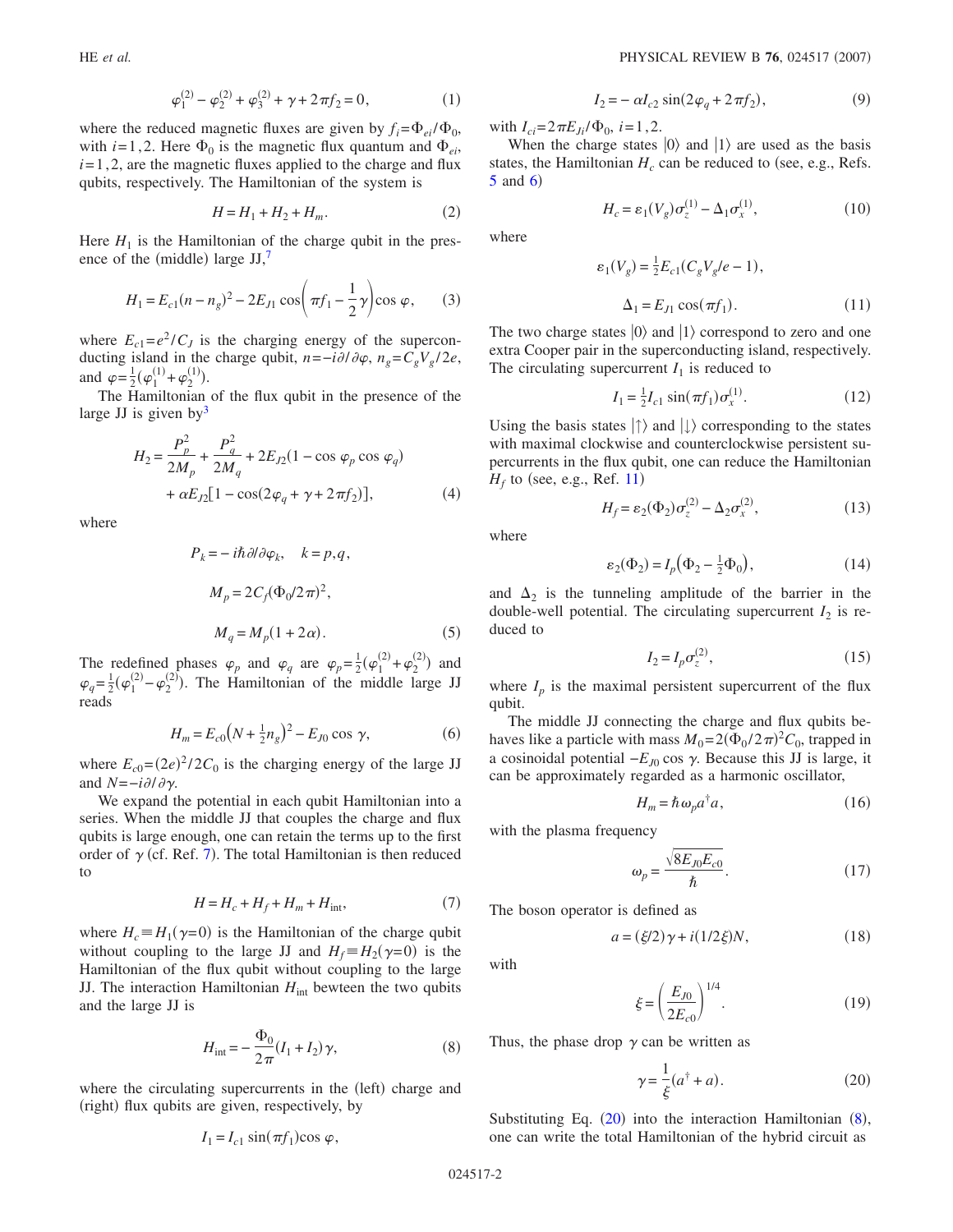$$
\varphi_1^{(2)} - \varphi_2^{(2)} + \varphi_3^{(2)} + \gamma + 2\pi f_2 = 0, \qquad (1)
$$

where the reduced magnetic fluxes are given by  $f_i = \Phi_{ei} / \Phi_0$ , with  $i=1,2$ . Here  $\Phi_0$  is the magnetic flux quantum and  $\Phi_{ei}$ ,  $i=1, 2$ , are the magnetic fluxes applied to the charge and flux qubits, respectively. The Hamiltonian of the system is

$$
H = H_1 + H_2 + H_m.
$$
 (2)

Here  $H_1$  is the Hamiltonian of the charge qubit in the presence of the (middle) large  $JJ$ ,<sup>7</sup>

$$
H_1 = E_{c1}(n - n_g)^2 - 2E_{J1} \cos\left(\pi f_1 - \frac{1}{2}\gamma\right) \cos\varphi,\qquad(3)
$$

where  $E_{c1} = e^2 / C_J$  is the charging energy of the superconducting island in the charge qubit,  $n = -i\partial/\partial\varphi$ ,  $n_g = C_gV_g/2e$ , and  $\varphi = \frac{1}{2} (\varphi_1^{(1)} + \varphi_2^{(1)}).$ 

The Hamiltonian of the flux qubit in the presence of the large JJ is given by<sup>3</sup>

$$
H_2 = \frac{P_p^2}{2M_p} + \frac{P_q^2}{2M_q} + 2E_{J2}(1 - \cos \varphi_p \cos \varphi_q)
$$
  
+  $\alpha E_{J2}[1 - \cos(2\varphi_q + \gamma + 2\pi f_2)],$  (4)

where

$$
P_k = -i\hbar \partial/\partial \varphi_k, \quad k = p, q,
$$
  

$$
M_p = 2C_f (\Phi_0/2\pi)^2,
$$
  

$$
M_q = M_p (1 + 2\alpha).
$$
 (5)

The redefined phases  $\varphi_p$  and  $\varphi_q$  are  $\varphi_p = \frac{1}{2}(\varphi_1^{(2)} + \varphi_2^{(2)})$  and  $\varphi_q = \frac{1}{2} (\varphi_1^{(2)} - \varphi_2^{(2)})$ . The Hamiltonian of the middle large JJ reads

$$
H_m = E_{c0}(N + \frac{1}{2}n_g)^2 - E_{J0} \cos \gamma,
$$
 (6)

where  $E_{c0} = (2e)^2 / 2C_0$  is the charging energy of the large JJ and  $N=-i\partial/\partial \gamma$ .

We expand the potential in each qubit Hamiltonian into a series. When the middle JJ that couples the charge and flux qubits is large enough, one can retain the terms up to the first order of  $\gamma$  (cf. Ref. [7](#page-4-5)). The total Hamiltonian is then reduced to

$$
H = H_c + H_f + H_m + H_{\text{int}},\tag{7}
$$

where  $H_c \equiv H_1(\gamma = 0)$  is the Hamiltonian of the charge qubit without coupling to the large JJ and  $H_f \equiv H_2(\gamma = 0)$  is the Hamiltonian of the flux qubit without coupling to the large JJ. The interaction Hamiltonian  $H<sub>int</sub>$  bewteen the two qubits and the large JJ is

$$
H_{\rm int} = -\frac{\Phi_0}{2\pi} (I_1 + I_2) \gamma,
$$
 (8)

<span id="page-1-1"></span>where the circulating supercurrents in the (left) charge and (right) flux qubits are given, respectively, by

$$
I_1 = I_{c1} \sin(\pi f_1) \cos \varphi,
$$

$$
I_2 = -\alpha I_{c2} \sin(2\varphi_q + 2\pi f_2),\tag{9}
$$

with  $I_{ci} = 2\pi E_{Ji}/\Phi_0$ , *i*=1,2.

When the charge states  $|0\rangle$  and  $|1\rangle$  are used as the basis states, the Hamiltonian  $H_c$  can be reduced to (see, e.g., Refs.  $5$  and  $6)$  $6)$ 

$$
H_c = \varepsilon_1(V_g)\sigma_z^{(1)} - \Delta_1\sigma_x^{(1)},\tag{10}
$$

where

$$
\varepsilon_1(V_g) = \frac{1}{2} E_{c1}(C_g V_g / e - 1),
$$
  
\n
$$
\Delta_1 = E_{J1} \cos(\pi f_1).
$$
 (11)

The two charge states  $|0\rangle$  and  $|1\rangle$  correspond to zero and one extra Cooper pair in the superconducting island, respectively. The circulating supercurrent  $I_1$  is reduced to

$$
I_1 = \frac{1}{2} I_{c1} \sin(\pi f_1) \sigma_x^{(1)}.
$$
 (12)

<span id="page-1-2"></span>Using the basis states  $|\uparrow\rangle$  and  $|\downarrow\rangle$  corresponding to the states with maximal clockwise and counterclockwise persistent supercurrents in the flux qubit, one can reduce the Hamiltonian  $H_f$  to (see, e.g., Ref. [11](#page-4-8))

$$
H_f = \varepsilon_2(\Phi_2)\sigma_z^{(2)} - \Delta_2\sigma_x^{(2)},\tag{13}
$$

where

$$
\varepsilon_2(\Phi_2) = I_p(\Phi_2 - \frac{1}{2}\Phi_0),\tag{14}
$$

and  $\Delta_2$  is the tunneling amplitude of the barrier in the double-well potential. The circulating supercurrent  $I_2$  is reduced to

$$
I_2 = I_p \sigma_z^{(2)},\tag{15}
$$

<span id="page-1-3"></span>where  $I_p$  is the maximal persistent supercurrent of the flux qubit.

The middle JJ connecting the charge and flux qubits behaves like a particle with mass  $M_0 = 2(\Phi_0 / 2\pi)^2 C_0$ , trapped in a cosinoidal potential  $−E_{J0}$  cos  $γ$ . Because this JJ is large, it can be approximately regarded as a harmonic oscillator,

$$
H_m = \hbar \,\omega_p a^\dagger a,\tag{16}
$$

with the plasma frequency

$$
\omega_p = \frac{\sqrt{8E_{J0}E_{c0}}}{\hbar}.
$$
\n(17)

The boson operator is defined as

$$
a = (\xi/2)\gamma + i(1/2\xi)N,\tag{18}
$$

with

$$
\xi = \left(\frac{E_{J0}}{2E_{c0}}\right)^{1/4}.\tag{19}
$$

<span id="page-1-0"></span>Thus, the phase drop  $\gamma$  can be written as

$$
\gamma = \frac{1}{\xi}(a^{\dagger} + a). \tag{20}
$$

Substituting Eq.  $(20)$  $(20)$  $(20)$  into the interaction Hamiltonian  $(8)$  $(8)$  $(8)$ , one can write the total Hamiltonian of the hybrid circuit as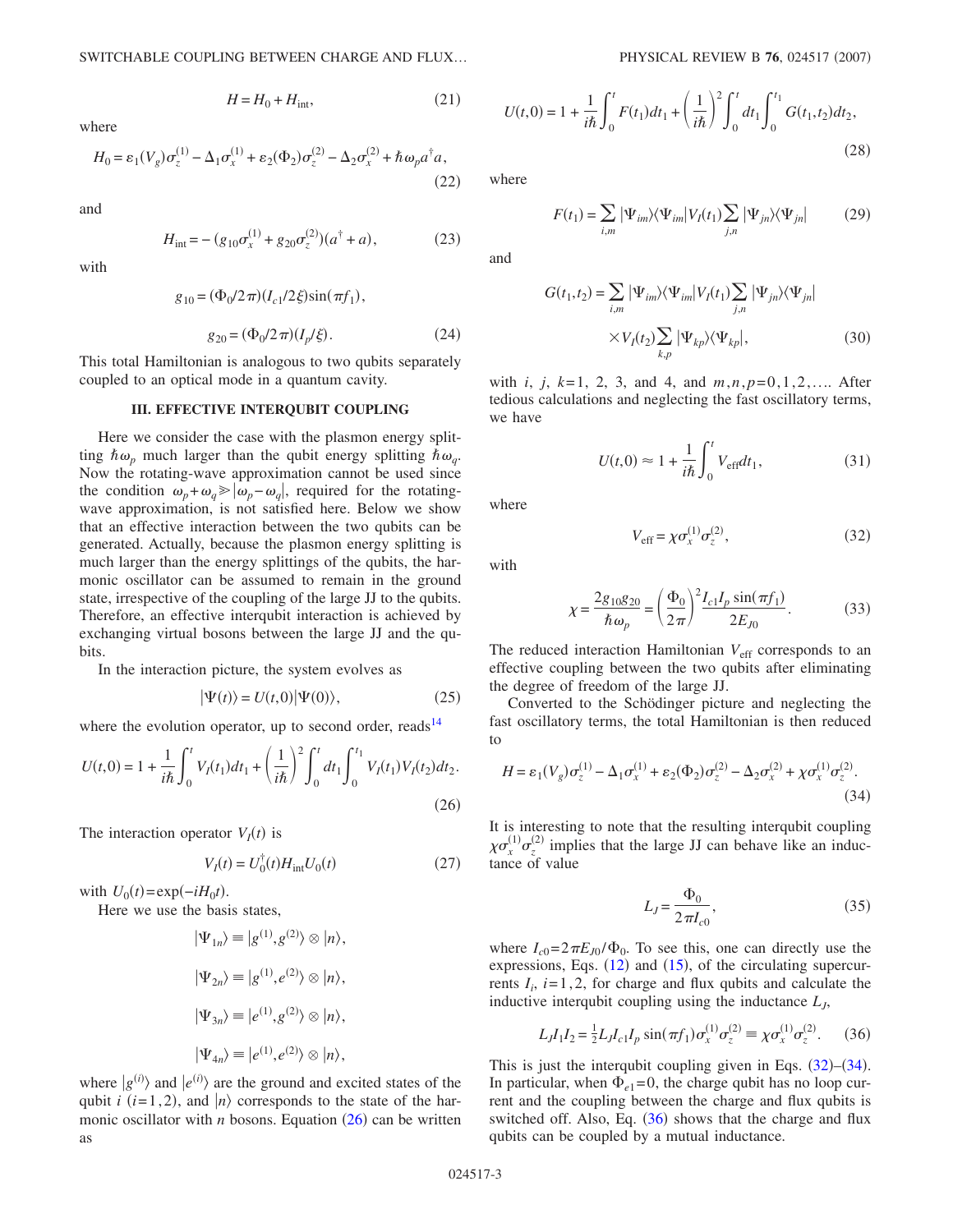$H = H_0 + H_{\text{int}}$  $(21)$ 

where

$$
H_0 = \varepsilon_1(V_g)\sigma_z^{(1)} - \Delta_1\sigma_x^{(1)} + \varepsilon_2(\Phi_2)\sigma_z^{(2)} - \Delta_2\sigma_x^{(2)} + \hbar\omega_p a^\dagger a,\tag{22}
$$

and

$$
H_{\text{int}} = -(g_{10}\sigma_x^{(1)} + g_{20}\sigma_z^{(2)})(a^{\dagger} + a), \tag{23}
$$

with

$$
g_{10} = (\Phi_0/2\pi)(I_{c1}/2\xi)\sin(\pi f_1),
$$

$$
g_{20} = (\Phi_0 / 2\pi) (I_p / \xi). \tag{24}
$$

This total Hamiltonian is analogous to two qubits separately coupled to an optical mode in a quantum cavity.

### **III. EFFECTIVE INTERQUBIT COUPLING**

Here we consider the case with the plasmon energy splitting  $\hbar \omega_p$  much larger than the qubit energy splitting  $\hbar \omega_q$ . Now the rotating-wave approximation cannot be used since the condition  $\omega_p + \omega_q \ge |\omega_p - \omega_q|$ , required for the rotatingwave approximation, is not satisfied here. Below we show that an effective interaction between the two qubits can be generated. Actually, because the plasmon energy splitting is much larger than the energy splittings of the qubits, the harmonic oscillator can be assumed to remain in the ground state, irrespective of the coupling of the large JJ to the qubits. Therefore, an effective interqubit interaction is achieved by exchanging virtual bosons between the large JJ and the qubits.

In the interaction picture, the system evolves as

$$
|\Psi(t)\rangle = U(t,0)|\Psi(0)\rangle, \tag{25}
$$

where the evolution operator, up to second order, reads<sup>14</sup>

<span id="page-2-0"></span>
$$
U(t,0) = 1 + \frac{1}{i\hbar} \int_0^t V_I(t_1)dt_1 + \left(\frac{1}{i\hbar}\right)^2 \int_0^t dt_1 \int_0^{t_1} V_I(t_1) V_I(t_2)dt_2.
$$
\n(26)

The interaction operator  $V_I(t)$  is

$$
V_I(t) = U_0^{\dagger}(t)H_{\text{int}}U_0(t)
$$
\n(27)

with  $U_0(t) = \exp(-iH_0t)$ .

Here we use the basis states,

$$
|\Psi_{1n}\rangle \equiv |g^{(1)}, g^{(2)}\rangle \otimes |n\rangle,
$$
  

$$
|\Psi_{2n}\rangle \equiv |g^{(1)}, e^{(2)}\rangle \otimes |n\rangle,
$$
  

$$
|\Psi_{3n}\rangle \equiv |e^{(1)}, g^{(2)}\rangle \otimes |n\rangle,
$$
  

$$
|\Psi_{4n}\rangle \equiv |e^{(1)}, e^{(2)}\rangle \otimes |n\rangle,
$$

where  $|g^{(i)}\rangle$  and  $|e^{(i)}\rangle$  are the ground and excited states of the qubit *i* (*i*=1,2), and  $|n\rangle$  corresponds to the state of the harmonic oscillator with *n* bosons. Equation  $(26)$  $(26)$  $(26)$  can be written as

$$
U(t,0) = 1 + \frac{1}{i\hbar} \int_0^t F(t_1)dt_1 + \left(\frac{1}{i\hbar}\right)^2 \int_0^t dt_1 \int_0^{t_1} G(t_1, t_2)dt_2,
$$
\n(28)

where

$$
F(t_1) = \sum_{i,m} |\Psi_{im}\rangle\langle\Psi_{im}|V_I(t_1) \sum_{j,n} |\Psi_{jn}\rangle\langle\Psi_{jn}| \tag{29}
$$

and

$$
G(t_1, t_2) = \sum_{i,m} |\Psi_{im}\rangle\langle\Psi_{im}|V_I(t_1)\sum_{j,n} |\Psi_{jn}\rangle\langle\Psi_{jn}|
$$

$$
\times V_I(t_2)\sum_{k,p} |\Psi_{kp}\rangle\langle\Psi_{kp}|,
$$
(30)

with *i*, *j*, *k*= 1, 2, 3, and 4, and *m*,*n*, *p*=0,1,2,.... After tedious calculations and neglecting the fast oscillatory terms, we have

$$
U(t,0) \approx 1 + \frac{1}{i\hbar} \int_0^t V_{\text{eff}} dt_1,\tag{31}
$$

<span id="page-2-1"></span>where

$$
V_{\rm eff} = \chi \sigma_x^{(1)} \sigma_z^{(2)},\tag{32}
$$

with

$$
\chi = \frac{2g_{10}g_{20}}{\hbar \omega_p} = \left(\frac{\Phi_0}{2\pi}\right)^2 \frac{I_{c1}I_p \sin(\pi f_1)}{2E_{J0}}.
$$
 (33)

The reduced interaction Hamiltonian  $V_{\text{eff}}$  corresponds to an effective coupling between the two qubits after eliminating the degree of freedom of the large JJ.

Converted to the Schödinger picture and neglecting the fast oscillatory terms, the total Hamiltonian is then reduced to

<span id="page-2-2"></span>
$$
H = \varepsilon_1 (V_g) \sigma_z^{(1)} - \Delta_1 \sigma_x^{(1)} + \varepsilon_2 (\Phi_2) \sigma_z^{(2)} - \Delta_2 \sigma_x^{(2)} + \chi \sigma_x^{(1)} \sigma_z^{(2)}.
$$
\n(34)

It is interesting to note that the resulting interqubit coupling  $\chi \sigma_x^{(1)} \sigma_z^{(2)}$  implies that the large JJ can behave like an inductance of value

$$
L_J = \frac{\Phi_0}{2\pi I_{c0}},\tag{35}
$$

where  $I_{c0} = 2\pi E_{J0} / \Phi_0$ . To see this, one can directly use the expressions, Eqs.  $(12)$  $(12)$  $(12)$  and  $(15)$  $(15)$  $(15)$ , of the circulating supercurrents  $I_i$ ,  $i=1,2$ , for charge and flux qubits and calculate the inductive interqubit coupling using the inductance  $L<sub>J</sub>$ ,

$$
L_J I_1 I_2 = \frac{1}{2} L_J I_{c1} I_p \sin(\pi f_1) \sigma_x^{(1)} \sigma_z^{(2)} \equiv \chi \sigma_x^{(1)} \sigma_z^{(2)}.
$$
 (36)

<span id="page-2-3"></span>This is just the interqubit coupling given in Eqs.  $(32)$  $(32)$  $(32)$ – $(34)$  $(34)$  $(34)$ . In particular, when  $\Phi_{e1} = 0$ , the charge qubit has no loop current and the coupling between the charge and flux qubits is switched off. Also, Eq.  $(36)$  $(36)$  $(36)$  shows that the charge and flux qubits can be coupled by a mutual inductance.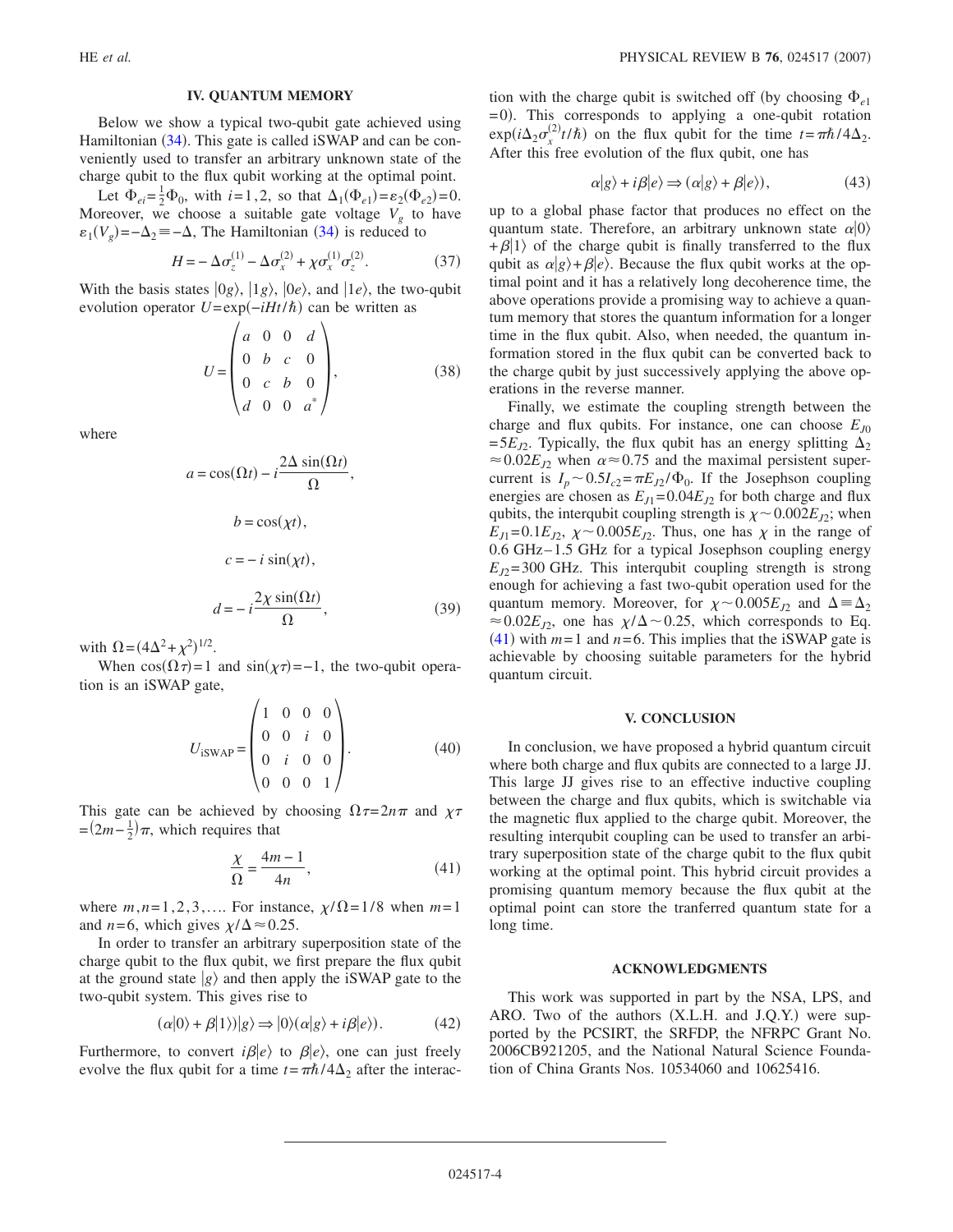## **IV. QUANTUM MEMORY**

Below we show a typical two-qubit gate achieved using Hamiltonian ([34](#page-2-2)). This gate is called iSWAP and can be conveniently used to transfer an arbitrary unknown state of the charge qubit to the flux qubit working at the optimal point.

Let  $\Phi_{ei} = \frac{1}{2} \Phi_0$ , with  $i = 1, 2$ , so that  $\Delta_1(\Phi_{e_1}) = \varepsilon_2(\Phi_{e_2}) = 0$ . Moreover, we choose a suitable gate voltage  $V_g$  to have  $\varepsilon_1(V_g) = -\Delta_2 = -\Delta$ , The Hamiltonian ([34](#page-2-2)) is reduced to

$$
H = -\Delta \sigma_z^{(1)} - \Delta \sigma_x^{(2)} + \chi \sigma_x^{(1)} \sigma_z^{(2)}.
$$
 (37)

With the basis states  $|0g\rangle$ ,  $|1g\rangle$ ,  $|0e\rangle$ , and  $|1e\rangle$ , the two-qubit evolution operator *U*=exp(*−iHt*/ $\hbar$ ) can be written as

$$
U = \begin{pmatrix} a & 0 & 0 & d \\ 0 & b & c & 0 \\ 0 & c & b & 0 \\ d & 0 & 0 & a^* \end{pmatrix},
$$
 (38)

where

$$
a = \cos(\Omega t) - i \frac{2\Delta \sin(\Omega t)}{\Omega},
$$
  
\n
$$
b = \cos(\chi t),
$$
  
\n
$$
c = -i \sin(\chi t),
$$
  
\n
$$
d = -i \frac{2\chi \sin(\Omega t)}{\Omega},
$$
\n(39)

with  $\Omega = (4\Delta^2 + \chi^2)^{1/2}$ .

When  $cos(\Omega \tau) = 1$  and  $sin(\chi \tau) = -1$ , the two-qubit operation is an iSWAP gate,

$$
U_{\text{isWAP}} = \begin{pmatrix} 1 & 0 & 0 & 0 \\ 0 & 0 & i & 0 \\ 0 & i & 0 & 0 \\ 0 & 0 & 0 & 1 \end{pmatrix} . \tag{40}
$$

<span id="page-3-0"></span>This gate can be achieved by choosing  $\Omega \tau = 2n\pi$  and  $\chi \tau$  $=(2m-\frac{1}{2})\pi$ , which requires that

$$
\frac{\chi}{\Omega} = \frac{4m - 1}{4n},\tag{41}
$$

where  $m, n=1, 2, 3, \ldots$  For instance,  $\chi/\Omega = 1/8$  when  $m=1$ and *n*=6, which gives  $\chi/\Delta \approx 0.25$ .

In order to transfer an arbitrary superposition state of the charge qubit to the flux qubit, we first prepare the flux qubit at the ground state  $|g\rangle$  and then apply the iSWAP gate to the two-qubit system. This gives rise to

$$
(\alpha|0\rangle + \beta|1\rangle)|g\rangle \Rightarrow |0\rangle(\alpha|g\rangle + i\beta|e\rangle). \tag{42}
$$

Furthermore, to convert  $i\beta|e\rangle$  to  $\beta|e\rangle$ , one can just freely evolve the flux qubit for a time  $t = \pi \hbar / 4\Delta_2$  after the interac-

tion with the charge qubit is switched off (by choosing  $\Phi_{e1}$ = 0). This corresponds to applying a one-qubit rotation  $\exp(i\Delta_2 \sigma_x^{(2)} t/\hbar)$  on the flux qubit for the time  $t = \pi \hbar / 4\Delta_2$ . After this free evolution of the flux qubit, one has

$$
\alpha|g\rangle + i\beta|e\rangle \Rightarrow (\alpha|g\rangle + \beta|e\rangle),\tag{43}
$$

up to a global phase factor that produces no effect on the quantum state. Therefore, an arbitrary unknown state  $\alpha|0\rangle$  $+ \beta |1\rangle$  of the charge qubit is finally transferred to the flux qubit as  $\alpha|g\rangle + \beta|e\rangle$ . Because the flux qubit works at the optimal point and it has a relatively long decoherence time, the above operations provide a promising way to achieve a quantum memory that stores the quantum information for a longer time in the flux qubit. Also, when needed, the quantum information stored in the flux qubit can be converted back to the charge qubit by just successively applying the above operations in the reverse manner.

Finally, we estimate the coupling strength between the charge and flux qubits. For instance, one can choose  $E_{J0}$  $= 5E_{12}$ . Typically, the flux qubit has an energy splitting  $\Delta_2$  $\approx 0.02E_{J2}$  when  $\alpha \approx 0.75$  and the maximal persistent supercurrent is  $I_p \sim 0.5 I_{c2} = \pi E_{J2} / \Phi_0$ . If the Josephson coupling energies are chosen as  $E_{J1} = 0.04E_{J2}$  for both charge and flux qubits, the interqubit coupling strength is  $\chi \sim 0.002E_{I2}$ ; when  $E_{J1}$ = 0.1 $E_{J2}$ ,  $\chi$  ~ 0.005 $E_{J2}$ . Thus, one has  $\chi$  in the range of 0.6 GHz– 1.5 GHz for a typical Josephson coupling energy  $E_{I2}$ =300 GHz. This interqubit coupling strength is strong enough for achieving a fast two-qubit operation used for the quantum memory. Moreover, for  $\chi \sim 0.005 E_{J2}$  and  $\Delta = \Delta_2$  $\approx 0.02 E_{J2}$ , one has  $\chi/\Delta \sim 0.25$ , which corresponds to Eq.  $(41)$  $(41)$  $(41)$  with  $m=1$  and  $n=6$ . This implies that the iSWAP gate is achievable by choosing suitable parameters for the hybrid quantum circuit.

# **V. CONCLUSION**

In conclusion, we have proposed a hybrid quantum circuit where both charge and flux qubits are connected to a large JJ. This large JJ gives rise to an effective inductive coupling between the charge and flux qubits, which is switchable via the magnetic flux applied to the charge qubit. Moreover, the resulting interqubit coupling can be used to transfer an arbitrary superposition state of the charge qubit to the flux qubit working at the optimal point. This hybrid circuit provides a promising quantum memory because the flux qubit at the optimal point can store the tranferred quantum state for a long time.

### **ACKNOWLEDGMENTS**

This work was supported in part by the NSA, LPS, and ARO. Two of the authors (X.L.H. and J.Q.Y.) were supported by the PCSIRT, the SRFDP, the NFRPC Grant No. 2006CB921205, and the National Natural Science Foundation of China Grants Nos. 10534060 and 10625416.